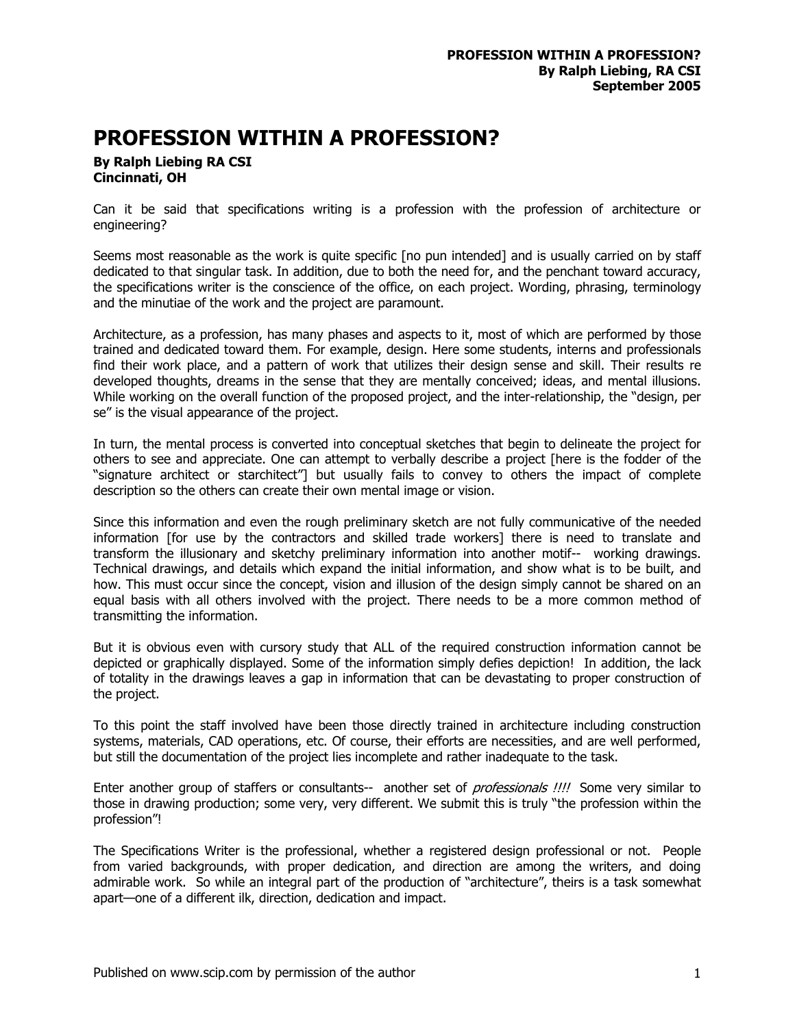## **PROFESSION WITHIN A PROFESSION?**

## **By Ralph Liebing RA CSI Cincinnati, OH**

Can it be said that specifications writing is a profession with the profession of architecture or engineering?

Seems most reasonable as the work is quite specific [no pun intended] and is usually carried on by staff dedicated to that singular task. In addition, due to both the need for, and the penchant toward accuracy, the specifications writer is the conscience of the office, on each project. Wording, phrasing, terminology and the minutiae of the work and the project are paramount.

Architecture, as a profession, has many phases and aspects to it, most of which are performed by those trained and dedicated toward them. For example, design. Here some students, interns and professionals find their work place, and a pattern of work that utilizes their design sense and skill. Their results re developed thoughts, dreams in the sense that they are mentally conceived; ideas, and mental illusions. While working on the overall function of the proposed project, and the inter-relationship, the "design, per se" is the visual appearance of the project.

In turn, the mental process is converted into conceptual sketches that begin to delineate the project for others to see and appreciate. One can attempt to verbally describe a project [here is the fodder of the "signature architect or starchitect"] but usually fails to convey to others the impact of complete description so the others can create their own mental image or vision.

Since this information and even the rough preliminary sketch are not fully communicative of the needed information [for use by the contractors and skilled trade workers] there is need to translate and transform the illusionary and sketchy preliminary information into another motif-- working drawings. Technical drawings, and details which expand the initial information, and show what is to be built, and how. This must occur since the concept, vision and illusion of the design simply cannot be shared on an equal basis with all others involved with the project. There needs to be a more common method of transmitting the information.

But it is obvious even with cursory study that ALL of the required construction information cannot be depicted or graphically displayed. Some of the information simply defies depiction! In addition, the lack of totality in the drawings leaves a gap in information that can be devastating to proper construction of the project.

To this point the staff involved have been those directly trained in architecture including construction systems, materials, CAD operations, etc. Of course, their efforts are necessities, and are well performed, but still the documentation of the project lies incomplete and rather inadequate to the task.

Enter another group of staffers or consultants-- another set of *professionals !!!!* Some very similar to those in drawing production; some very, very different. We submit this is truly "the profession within the profession"!

The Specifications Writer is the professional, whether a registered design professional or not. People from varied backgrounds, with proper dedication, and direction are among the writers, and doing admirable work. So while an integral part of the production of "architecture", theirs is a task somewhat apart—one of a different ilk, direction, dedication and impact.